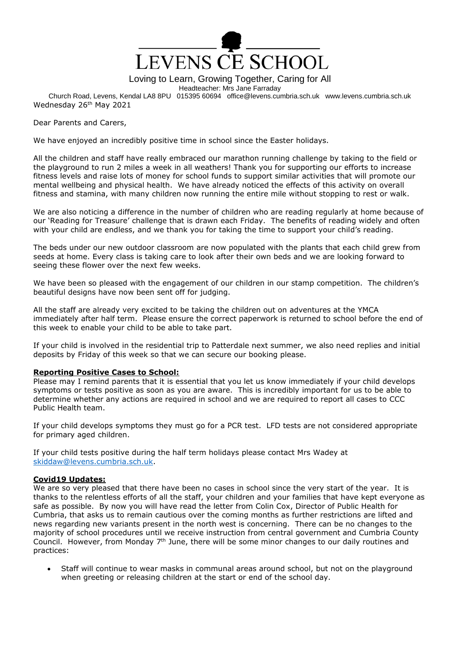

Loving to Learn, Growing Together, Caring for All

Headteacher: Mrs Jane Farraday

Church Road, Levens, Kendal LA8 8PU 015395 60694 office@levens.cumbria.sch.uk www.levens.cumbria.sch.uk Wednesday 26<sup>th</sup> May 2021

Dear Parents and Carers,

We have enjoyed an incredibly positive time in school since the Easter holidays.

All the children and staff have really embraced our marathon running challenge by taking to the field or the playground to run 2 miles a week in all weathers! Thank you for supporting our efforts to increase fitness levels and raise lots of money for school funds to support similar activities that will promote our mental wellbeing and physical health. We have already noticed the effects of this activity on overall fitness and stamina, with many children now running the entire mile without stopping to rest or walk.

We are also noticing a difference in the number of children who are reading regularly at home because of our 'Reading for Treasure' challenge that is drawn each Friday. The benefits of reading widely and often with your child are endless, and we thank you for taking the time to support your child's reading.

The beds under our new outdoor classroom are now populated with the plants that each child grew from seeds at home. Every class is taking care to look after their own beds and we are looking forward to seeing these flower over the next few weeks.

We have been so pleased with the engagement of our children in our stamp competition. The children's beautiful designs have now been sent off for judging.

All the staff are already very excited to be taking the children out on adventures at the YMCA immediately after half term. Please ensure the correct paperwork is returned to school before the end of this week to enable your child to be able to take part.

If your child is involved in the residential trip to Patterdale next summer, we also need replies and initial deposits by Friday of this week so that we can secure our booking please.

#### **Reporting Positive Cases to School:**

Please may I remind parents that it is essential that you let us know immediately if your child develops symptoms or tests positive as soon as you are aware. This is incredibly important for us to be able to determine whether any actions are required in school and we are required to report all cases to CCC Public Health team.

If your child develops symptoms they must go for a PCR test. LFD tests are not considered appropriate for primary aged children.

If your child tests positive during the half term holidays please contact Mrs Wadey at [skiddaw@levens.cumbria.sch.uk.](mailto:skiddaw@levens.cumbria.sch.uk)

## **Covid19 Updates:**

We are so very pleased that there have been no cases in school since the very start of the year. It is thanks to the relentless efforts of all the staff, your children and your families that have kept everyone as safe as possible. By now you will have read the letter from Colin Cox, Director of Public Health for Cumbria, that asks us to remain cautious over the coming months as further restrictions are lifted and news regarding new variants present in the north west is concerning. There can be no changes to the majority of school procedures until we receive instruction from central government and Cumbria County Council. However, from Monday 7<sup>th</sup> June, there will be some minor changes to our daily routines and practices:

 Staff will continue to wear masks in communal areas around school, but not on the playground when greeting or releasing children at the start or end of the school day.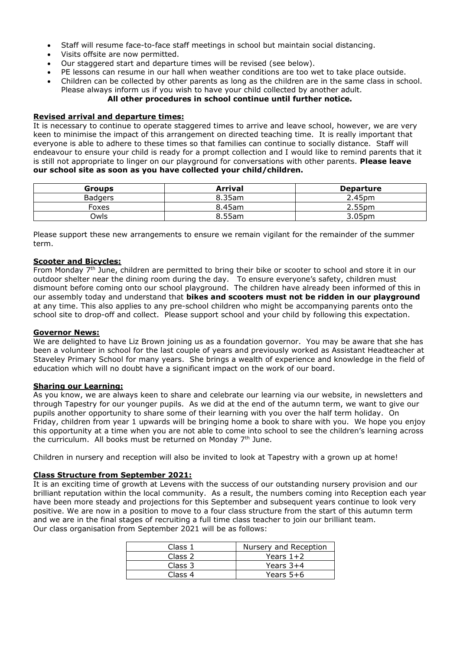- Staff will resume face-to-face staff meetings in school but maintain social distancing.
- Visits offsite are now permitted.
- Our staggered start and departure times will be revised (see below).
- PE lessons can resume in our hall when weather conditions are too wet to take place outside.
- Children can be collected by other parents as long as the children are in the same class in school. Please always inform us if you wish to have your child collected by another adult.

# **All other procedures in school continue until further notice.**

#### **Revised arrival and departure times:**

It is necessary to continue to operate staggered times to arrive and leave school, however, we are very keen to minimise the impact of this arrangement on directed teaching time. It is really important that everyone is able to adhere to these times so that families can continue to socially distance. Staff will endeavour to ensure your child is ready for a prompt collection and I would like to remind parents that it is still not appropriate to linger on our playground for conversations with other parents. **Please leave our school site as soon as you have collected your child/children.**

| <b>Groups</b>  | <b>Arrival</b> | <b>Departure</b>   |
|----------------|----------------|--------------------|
| <b>Badgers</b> | 8.35am         | 2.45pm             |
| Foxes          | 8.45am         | 2.55 <sub>pm</sub> |
| <b>Owls</b>    | 8.55am         | 3.05pm             |

Please support these new arrangements to ensure we remain vigilant for the remainder of the summer term.

### **Scooter and Bicycles:**

From Monday 7<sup>th</sup> June, children are permitted to bring their bike or scooter to school and store it in our outdoor shelter near the dining room during the day. To ensure everyone's safety, children must dismount before coming onto our school playground. The children have already been informed of this in our assembly today and understand that **bikes and scooters must not be ridden in our playground** at any time. This also applies to any pre-school children who might be accompanying parents onto the school site to drop-off and collect. Please support school and your child by following this expectation.

#### **Governor News:**

We are delighted to have Liz Brown joining us as a foundation governor. You may be aware that she has been a volunteer in school for the last couple of years and previously worked as Assistant Headteacher at Staveley Primary School for many years. She brings a wealth of experience and knowledge in the field of education which will no doubt have a significant impact on the work of our board.

### **Sharing our Learning:**

As you know, we are always keen to share and celebrate our learning via our website, in newsletters and through Tapestry for our younger pupils. As we did at the end of the autumn term, we want to give our pupils another opportunity to share some of their learning with you over the half term holiday. On Friday, children from year 1 upwards will be bringing home a book to share with you. We hope you enjoy this opportunity at a time when you are not able to come into school to see the children's learning across the curriculum. All books must be returned on Monday 7<sup>th</sup> June.

Children in nursery and reception will also be invited to look at Tapestry with a grown up at home!

## **Class Structure from September 2021:**

It is an exciting time of growth at Levens with the success of our outstanding nursery provision and our brilliant reputation within the local community. As a result, the numbers coming into Reception each year have been more steady and projections for this September and subsequent years continue to look very positive. We are now in a position to move to a four class structure from the start of this autumn term and we are in the final stages of recruiting a full time class teacher to join our brilliant team. Our class organisation from September 2021 will be as follows:

| Class 1 | Nursery and Reception |
|---------|-----------------------|
| Class 2 | Years $1+2$           |
| Class 3 | Years $3+4$           |
| Class 4 | Years $5+6$           |